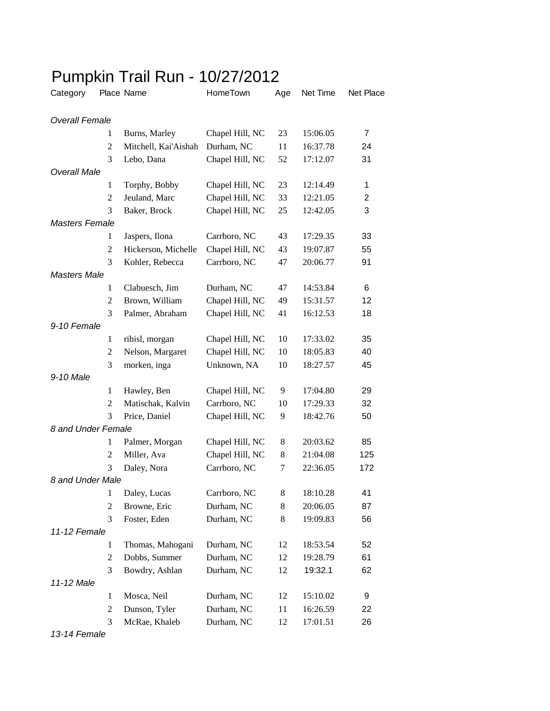## Pumpkin Trail Run - 10/27/2012

| Category              |                | Place Name           | HomeTown        | Age | Net Time | Net Place         |
|-----------------------|----------------|----------------------|-----------------|-----|----------|-------------------|
| <b>Overall Female</b> |                |                      |                 |     |          |                   |
|                       | 1              | Burns, Marley        | Chapel Hill, NC | 23  | 15:06.05 | $\overline{7}$    |
|                       | $\overline{c}$ | Mitchell, Kai'Aishah | Durham, NC      | 11  | 16:37.78 | 24                |
|                       | 3              | Lebo, Dana           | Chapel Hill, NC | 52  | 17:12.07 | 31                |
| <b>Overall Male</b>   |                |                      |                 |     |          |                   |
|                       | 1              | Torphy, Bobby        | Chapel Hill, NC | 23  | 12:14.49 | 1                 |
|                       | 2              | Jeuland, Marc        | Chapel Hill, NC | 33  | 12:21.05 | 2                 |
|                       | 3              | Baker, Brock         | Chapel Hill, NC | 25  | 12:42.05 | 3                 |
| <b>Masters Female</b> |                |                      |                 |     |          |                   |
|                       | 1              | Jaspers, Ilona       | Carrboro, NC    | 43  | 17:29.35 | 33                |
|                       | $\overline{c}$ | Hickerson, Michelle  | Chapel Hill, NC | 43  | 19:07.87 | 55                |
|                       | 3              | Kohler, Rebecca      | Carrboro, NC    | 47  | 20:06.77 | 91                |
| <b>Masters Male</b>   |                |                      |                 |     |          |                   |
|                       | 1              | Clabuesch, Jim       | Durham, NC      | 47  | 14:53.84 | 6                 |
|                       | 2              | Brown, William       | Chapel Hill, NC | 49  | 15:31.57 | $12 \overline{ }$ |
|                       | 3              | Palmer, Abraham      | Chapel Hill, NC | 41  | 16:12.53 | 18                |
| 9-10 Female           |                |                      |                 |     |          |                   |
|                       | 1              | ribisl, morgan       | Chapel Hill, NC | 10  | 17:33.02 | 35                |
|                       | 2              | Nelson, Margaret     | Chapel Hill, NC | 10  | 18:05.83 | 40                |
|                       | 3              | morken, inga         | Unknown, NA     | 10  | 18:27.57 | 45                |
| 9-10 Male             |                |                      |                 |     |          |                   |
|                       | $\mathbf{1}$   | Hawley, Ben          | Chapel Hill, NC | 9   | 17:04.80 | 29                |
|                       | $\overline{2}$ | Matischak, Kalvin    | Carrboro, NC    | 10  | 17:29.33 | 32                |
|                       | 3              | Price, Daniel        | Chapel Hill, NC | 9   | 18:42.76 | 50                |
| 8 and Under Female    |                |                      |                 |     |          |                   |
|                       | 1              | Palmer, Morgan       | Chapel Hill, NC | 8   | 20:03.62 | 85                |
|                       | $\overline{c}$ | Miller, Ava          | Chapel Hill, NC | 8   | 21:04.08 | 125               |
|                       | 3              | Daley, Nora          | Carrboro, NC    | 7   | 22:36.05 | 172               |
| 8 and Under Male      |                |                      |                 |     |          |                   |
|                       | $\mathbf{1}$   | Daley, Lucas         | Carrboro, NC    | 8   | 18:10.28 | 41                |
|                       | 2              | Browne, Eric         | Durham, NC      | 8   | 20:06.05 | 87                |
|                       | 3              | Foster, Eden         | Durham, NC      | 8   | 19:09.83 | 56                |
| 11-12 Female          |                |                      |                 |     |          |                   |
|                       | $\mathbf{1}$   | Thomas, Mahogani     | Durham, NC      | 12  | 18:53.54 | 52                |
|                       | $\overline{2}$ | Dobbs, Summer        | Durham, NC      | 12  | 19:28.79 | 61                |
|                       | 3              | Bowdry, Ashlan       | Durham, NC      | 12  | 19:32.1  | 62                |
| 11-12 Male            |                |                      |                 |     |          |                   |
|                       | $\mathbf{1}$   | Mosca, Neil          | Durham, NC      | 12  | 15:10.02 | 9                 |
|                       | $\overline{2}$ | Dunson, Tyler        | Durham, NC      | 11  | 16:26.59 | 22                |
|                       | 3              | McRae, Khaleb        | Durham, NC      | 12  | 17:01.51 | 26                |

*13-14 Female*